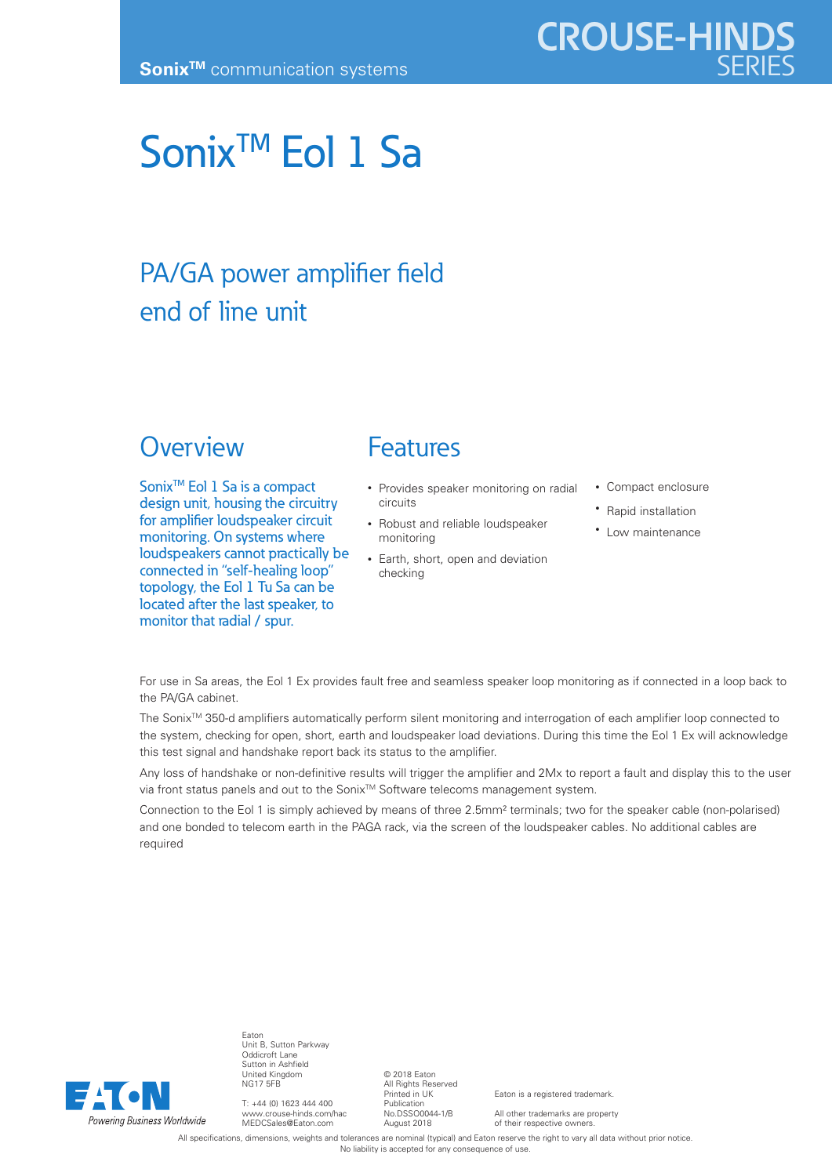# Sonix<sup>™</sup> Eol 1 Sa

## PA/GA power amplifier field end of line unit

### **Overview**

Sonix<sup>™</sup> Eol 1 Sa is a compact design unit, housing the circuitry for amplifier loudspeaker circuit monitoring. On systems where loudspeakers cannot practically be connected in "self-healing loop" topology, the Eol 1 Tu Sa can be located after the last speaker, to monitor that radial / spur.

## Features

- Provides speaker monitoring on radial circuits
- Robust and reliable loudspeaker monitoring
- Earth, short, open and deviation checking
- Compact enclosure
- Rapid installation
- Low maintenance

For use in Sa areas, the Eol 1 Ex provides fault free and seamless speaker loop monitoring as if connected in a loop back to the PA/GA cabinet.

The Sonix<sup>™</sup> 350-d amplifiers automatically perform silent monitoring and interrogation of each amplifier loop connected to the system, checking for open, short, earth and loudspeaker load deviations. During this time the Eol 1 Ex will acknowledge this test signal and handshake report back its status to the amplifier.

Any loss of handshake or non-definitive results will trigger the amplifier and 2Mx to report a fault and display this to the user via front status panels and out to the Sonix™ Software telecoms management system.

Connection to the Eol 1 is simply achieved by means of three 2.5mm² terminals; two for the speaker cable (non-polarised) and one bonded to telecom earth in the PAGA rack, via the screen of the loudspeaker cables. No additional cables are required



Eaton Unit B, Sutton Parkway Oddicroft Lane Sutton in Ashfield United Kingdom NG17 5FB

T: +44 (0) 1623 444 400 www.crouse-hinds.com/hac MEDCSales@Eaton.com

© 2018 Eaton All Rights Reserved Printed in UK Publication No.DSSO0044-1/B August 2018

Eaton is a registered trademark.

All other trademarks are property of their respective owners.

All specifications, dimensions, weights and tolerances are nominal (typical) and Eaton reserve the right to vary all data without prior notice. No liability is accepted for any consequence of use.